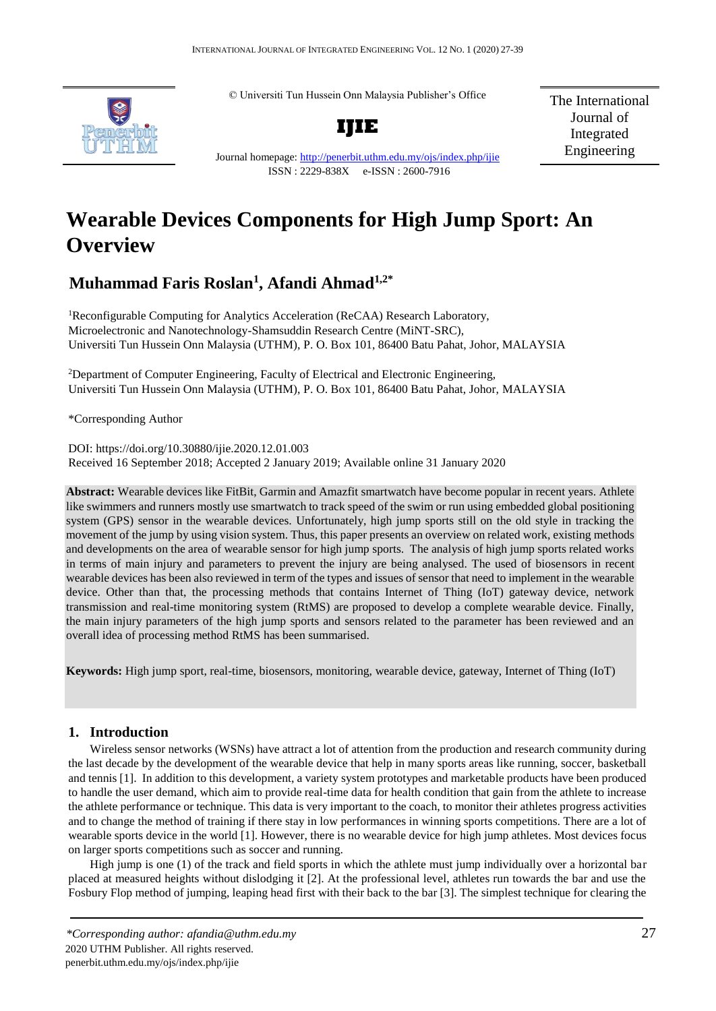© Universiti Tun Hussein Onn Malaysia Publisher's Office



**IJIE**

The International Journal of Integrated Engineering

Journal homepage:<http://penerbit.uthm.edu.my/ojs/index.php/ijie> ISSN : 2229-838X e-ISSN : 2600-7916

# **Wearable Devices Components for High Jump Sport: An Overview**

## **Muhammad Faris Roslan<sup>1</sup> , Afandi Ahmad1,2\***

<sup>1</sup>Reconfigurable Computing for Analytics Acceleration (ReCAA) Research Laboratory, Microelectronic and Nanotechnology-Shamsuddin Research Centre (MiNT-SRC), Universiti Tun Hussein Onn Malaysia (UTHM), P. O. Box 101, 86400 Batu Pahat, Johor, MALAYSIA

<sup>2</sup>Department of Computer Engineering, Faculty of Electrical and Electronic Engineering, Universiti Tun Hussein Onn Malaysia (UTHM), P. O. Box 101, 86400 Batu Pahat, Johor, MALAYSIA

\*Corresponding Author

DOI: https://doi.org/10.30880/ijie.2020.12.01.003 Received 16 September 2018; Accepted 2 January 2019; Available online 31 January 2020

**Abstract:** Wearable devices like FitBit, Garmin and Amazfit smartwatch have become popular in recent years. Athlete like swimmers and runners mostly use smartwatch to track speed of the swim or run using embedded global positioning system (GPS) sensor in the wearable devices. Unfortunately, high jump sports still on the old style in tracking the movement of the jump by using vision system. Thus, this paper presents an overview on related work, existing methods and developments on the area of wearable sensor for high jump sports. The analysis of high jump sports related works in terms of main injury and parameters to prevent the injury are being analysed. The used of biosensors in recent wearable devices has been also reviewed in term of the types and issues of sensor that need to implement in the wearable device. Other than that, the processing methods that contains Internet of Thing (IoT) gateway device, network transmission and real-time monitoring system (RtMS) are proposed to develop a complete wearable device. Finally, the main injury parameters of the high jump sports and sensors related to the parameter has been reviewed and an overall idea of processing method RtMS has been summarised.

**Keywords:** High jump sport, real-time, biosensors, monitoring, wearable device, gateway, Internet of Thing (IoT)

## **1. Introduction**

Wireless sensor networks (WSNs) have attract a lot of attention from the production and research community during the last decade by the development of the wearable device that help in many sports areas like running, soccer, basketball and tennis [1]. In addition to this development, a variety system prototypes and marketable products have been produced to handle the user demand, which aim to provide real-time data for health condition that gain from the athlete to increase the athlete performance or technique. This data is very important to the coach, to monitor their athletes progress activities and to change the method of training if there stay in low performances in winning sports competitions. There are a lot of wearable sports device in the world [1]. However, there is no wearable device for high jump athletes. Most devices focus on larger sports competitions such as soccer and running.

High jump is one (1) of the track and field sports in which the athlete must jump individually over a horizontal bar placed at measured heights without dislodging it [2]. At the professional level, athletes run towards the bar and use the Fosbury Flop method of jumping, leaping head first with their back to the bar [3]. The simplest technique for clearing the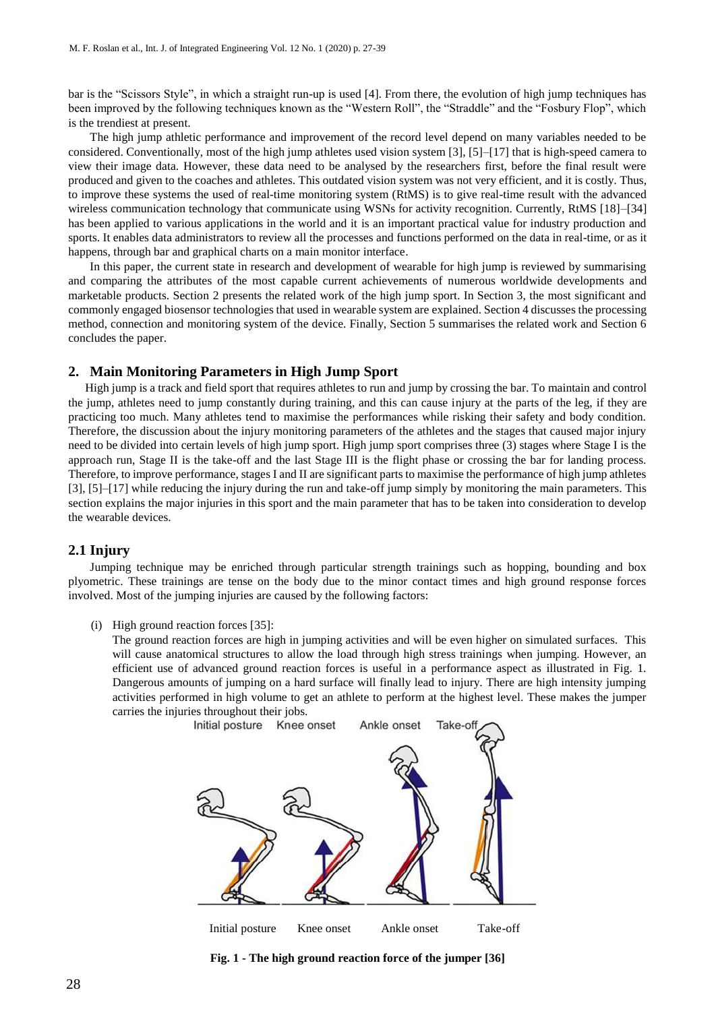bar is the "Scissors Style", in which a straight run-up is used [4]. From there, the evolution of high jump techniques has been improved by the following techniques known as the "Western Roll", the "Straddle" and the "Fosbury Flop", which is the trendiest at present.

The high jump athletic performance and improvement of the record level depend on many variables needed to be considered. Conventionally, most of the high jump athletes used vision system [3], [5]–[17] that is high-speed camera to view their image data. However, these data need to be analysed by the researchers first, before the final result were produced and given to the coaches and athletes. This outdated vision system was not very efficient, and it is costly. Thus, to improve these systems the used of real-time monitoring system (RtMS) is to give real-time result with the advanced wireless communication technology that communicate using WSNs for activity recognition. Currently, RtMS [18]–[34] has been applied to various applications in the world and it is an important practical value for industry production and sports. It enables data administrators to review all the processes and functions performed on the data in real-time, or as it happens, through bar and graphical charts on a main monitor interface.

In this paper, the current state in research and development of wearable for high jump is reviewed by summarising and comparing the attributes of the most capable current achievements of numerous worldwide developments and marketable products. Section 2 presents the related work of the high jump sport. In Section 3, the most significant and commonly engaged biosensor technologies that used in wearable system are explained. Section 4 discusses the processing method, connection and monitoring system of the device. Finally, Section 5 summarises the related work and Section 6 concludes the paper.

## **2. Main Monitoring Parameters in High Jump Sport**

High jump is a track and field sport that requires athletes to run and jump by crossing the bar. To maintain and control the jump, athletes need to jump constantly during training, and this can cause injury at the parts of the leg, if they are practicing too much. Many athletes tend to maximise the performances while risking their safety and body condition. Therefore, the discussion about the injury monitoring parameters of the athletes and the stages that caused major injury need to be divided into certain levels of high jump sport. High jump sport comprises three (3) stages where Stage I is the approach run, Stage II is the take-off and the last Stage III is the flight phase or crossing the bar for landing process. Therefore, to improve performance, stages I and II are significant parts to maximise the performance of high jump athletes [3], [5]–[17] while reducing the injury during the run and take-off jump simply by monitoring the main parameters. This section explains the major injuries in this sport and the main parameter that has to be taken into consideration to develop the wearable devices.

## **2.1 Injury**

Jumping technique may be enriched through particular strength trainings such as hopping, bounding and box plyometric. These trainings are tense on the body due to the minor contact times and high ground response forces involved. Most of the jumping injuries are caused by the following factors:

(i) High ground reaction forces [35]:

The ground reaction forces are high in jumping activities and will be even higher on simulated surfaces. This will cause anatomical structures to allow the load through high stress trainings when jumping. However, an efficient use of advanced ground reaction forces is useful in a performance aspect as illustrated in Fig. 1. Dangerous amounts of jumping on a hard surface will finally lead to injury. There are high intensity jumping activities performed in high volume to get an athlete to perform at the highest level. These makes the jumper carries the injuries throughout their jobs.



**Fig. 1 - The high ground reaction force of the jumper [36]**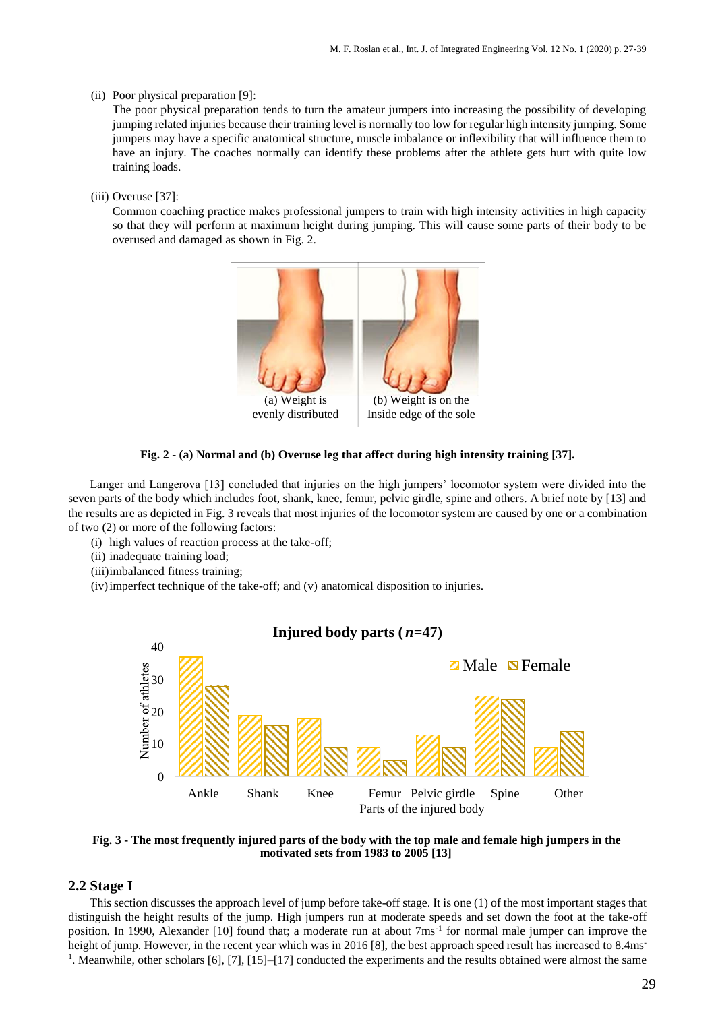## (ii) Poor physical preparation [9]:

The poor physical preparation tends to turn the amateur jumpers into increasing the possibility of developing jumping related injuries because their training level is normally too low for regular high intensity jumping. Some jumpers may have a specific anatomical structure, muscle imbalance or inflexibility that will influence them to have an injury. The coaches normally can identify these problems after the athlete gets hurt with quite low training loads.

## (iii) Overuse [37]:

Common coaching practice makes professional jumpers to train with high intensity activities in high capacity so that they will perform at maximum height during jumping. This will cause some parts of their body to be overused and damaged as shown in Fig. 2.





Langer and Langerova [13] concluded that injuries on the high jumpers' locomotor system were divided into the seven parts of the body which includes foot, shank, knee, femur, pelvic girdle, spine and others. A brief note by [13] and the results are as depicted in Fig. 3 reveals that most injuries of the locomotor system are caused by one or a combination of two (2) or more of the following factors:

- (i) high values of reaction process at the take-off;
- (ii) inadequate training load;
- (iii)imbalanced fitness training;
- (iv)imperfect technique of the take-off; and (v) anatomical disposition to injuries.

## **Injured body parts (***n***=47)**



**Fig. 3 - The most frequently injured parts of the body with the top male and female high jumpers in the motivated sets from 1983 to 2005 [13]**

## **2.2 Stage I**

This section discusses the approach level of jump before take-off stage. It is one (1) of the most important stages that distinguish the height results of the jump. High jumpers run at moderate speeds and set down the foot at the take-off position. In 1990, Alexander [10] found that; a moderate run at about 7ms<sup>-1</sup> for normal male jumper can improve the height of jump. However, in the recent year which was in 2016 [8], the best approach speed result has increased to 8.4ms<sup>-</sup> 1 . Meanwhile, other scholars [6], [7], [15]–[17] conducted the experiments and the results obtained were almost the same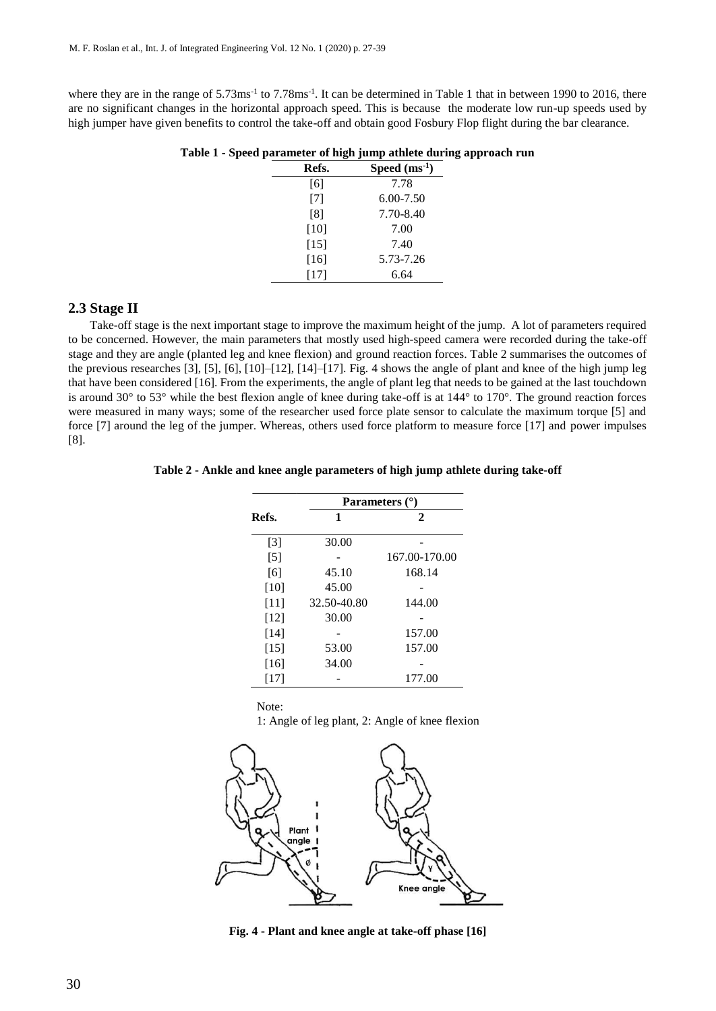where they are in the range of  $5.73 \text{ms}^{-1}$  to  $7.78 \text{ms}^{-1}$ . It can be determined in Table 1 that in between 1990 to 2016, there are no significant changes in the horizontal approach speed. This is because the moderate low run-up speeds used by high jumper have given benefits to control the take-off and obtain good Fosbury Flop flight during the bar clearance.

| Refs.  | Speed $(ms-1)$ |  |  |  |
|--------|----------------|--|--|--|
| [6]    | 7.78           |  |  |  |
| $[7]$  | $6.00 - 7.50$  |  |  |  |
| [8]    | 7.70-8.40      |  |  |  |
| $[10]$ | 7.00           |  |  |  |
| $[15]$ | 7.40           |  |  |  |
| $[16]$ | 5.73-7.26      |  |  |  |
| [17]   | 6.64           |  |  |  |
|        |                |  |  |  |

**Table 1 - Speed parameter of high jump athlete during approach run**

## **2.3 Stage II**

Take-off stage is the next important stage to improve the maximum height of the jump. A lot of parameters required to be concerned. However, the main parameters that mostly used high-speed camera were recorded during the take-off stage and they are angle (planted leg and knee flexion) and ground reaction forces. Table 2 summarises the outcomes of the previous researches [3], [5], [6], [10]–[12], [14]–[17]. Fig. 4 shows the angle of plant and knee of the high jump leg that have been considered [16]. From the experiments, the angle of plant leg that needs to be gained at the last touchdown is around 30° to 53° while the best flexion angle of knee during take-off is at 144° to 170°. The ground reaction forces were measured in many ways; some of the researcher used force plate sensor to calculate the maximum torque [5] and force [7] around the leg of the jumper. Whereas, others used force platform to measure force [17] and power impulses [8].

## **Table 2 - Ankle and knee angle parameters of high jump athlete during take-off**

|        | Parameters $(°)$ |               |  |  |  |
|--------|------------------|---------------|--|--|--|
| Refs.  | 1                | 2             |  |  |  |
| $[3]$  | 30.00            |               |  |  |  |
| $[5]$  |                  | 167.00-170.00 |  |  |  |
| [6]    | 45.10            | 168.14        |  |  |  |
| $[10]$ | 45.00            |               |  |  |  |
| [11]   | 32.50-40.80      | 144.00        |  |  |  |
| [12]   | 30.00            |               |  |  |  |
| [14]   |                  | 157.00        |  |  |  |
| $[15]$ | 53.00            | 157.00        |  |  |  |
| $[16]$ | 34.00            |               |  |  |  |
| [17]   |                  | 177.00        |  |  |  |

Note:

1: Angle of leg plant, 2: Angle of knee flexion



**Fig. 4 - Plant and knee angle at take-off phase [16]**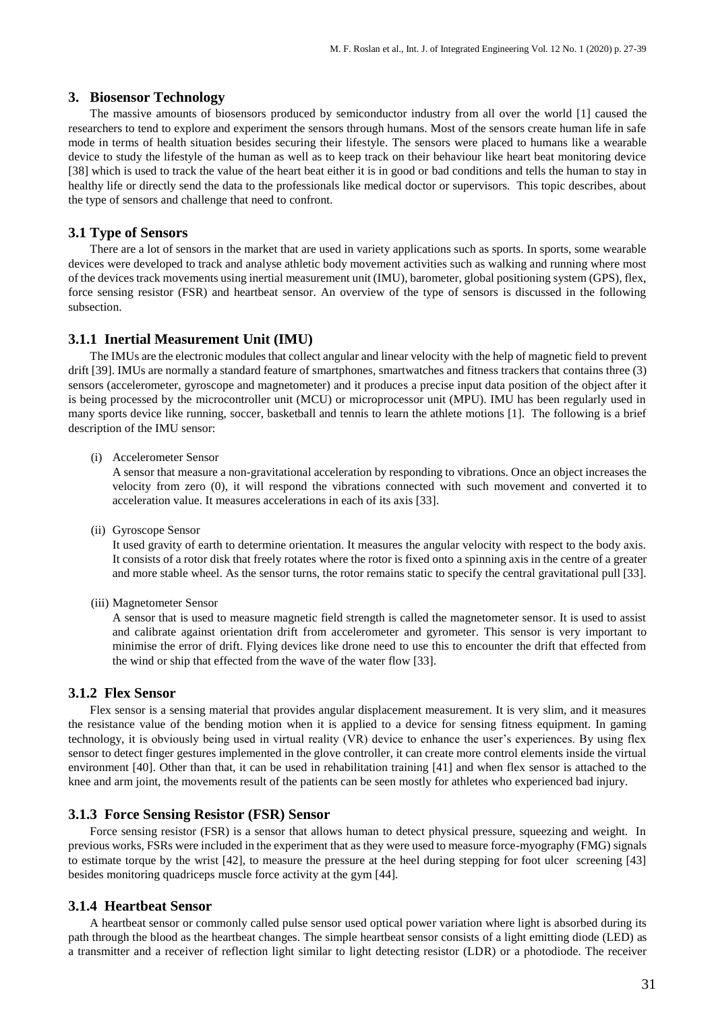## **3. Biosensor Technology**

The massive amounts of biosensors produced by semiconductor industry from all over the world [1] caused the researchers to tend to explore and experiment the sensors through humans. Most of the sensors create human life in safe mode in terms of health situation besides securing their lifestyle. The sensors were placed to humans like a wearable device to study the lifestyle of the human as well as to keep track on their behaviour like heart beat monitoring device [38] which is used to track the value of the heart beat either it is in good or bad conditions and tells the human to stay in healthy life or directly send the data to the professionals like medical doctor or supervisors. This topic describes, about the type of sensors and challenge that need to confront.

## **3.1 Type of Sensors**

There are a lot of sensors in the market that are used in variety applications such as sports. In sports, some wearable devices were developed to track and analyse athletic body movement activities such as walking and running where most of the devices track movements using inertial measurement unit (IMU), barometer, global positioning system (GPS), flex, force sensing resistor (FSR) and heartbeat sensor. An overview of the type of sensors is discussed in the following subsection.

## **3.1.1 Inertial Measurement Unit (IMU)**

The IMUs are the electronic modules that collect angular and linear velocity with the help of magnetic field to prevent drift [39]. IMUs are normally a standard feature of smartphones, smartwatches and fitness trackers that contains three (3) sensors (accelerometer, gyroscope and magnetometer) and it produces a precise input data position of the object after it is being processed by the microcontroller unit (MCU) or microprocessor unit (MPU). IMU has been regularly used in many sports device like running, soccer, basketball and tennis to learn the athlete motions [1]. The following is a brief description of the IMU sensor:

(i) Accelerometer Sensor

A sensor that measure a non-gravitational acceleration by responding to vibrations. Once an object increases the velocity from zero (0), it will respond the vibrations connected with such movement and converted it to acceleration value. It measures accelerations in each of its axis [33].

(ii) Gyroscope Sensor

It used gravity of earth to determine orientation. It measures the angular velocity with respect to the body axis. It consists of a rotor disk that freely rotates where the rotor is fixed onto a spinning axis in the centre of a greater and more stable wheel. As the sensor turns, the rotor remains static to specify the central gravitational pull [33].

(iii) Magnetometer Sensor

A sensor that is used to measure magnetic field strength is called the magnetometer sensor. It is used to assist and calibrate against orientation drift from accelerometer and gyrometer. This sensor is very important to minimise the error of drift. Flying devices like drone need to use this to encounter the drift that effected from the wind or ship that effected from the wave of the water flow [33].

## **3.1.2 Flex Sensor**

Flex sensor is a sensing material that provides angular displacement measurement. It is very slim, and it measures the resistance value of the bending motion when it is applied to a device for sensing fitness equipment. In gaming technology, it is obviously being used in virtual reality (VR) device to enhance the user's experiences. By using flex sensor to detect finger gestures implemented in the glove controller, it can create more control elements inside the virtual environment [40]. Other than that, it can be used in rehabilitation training [41] and when flex sensor is attached to the knee and arm joint, the movements result of the patients can be seen mostly for athletes who experienced bad injury.

## **3.1.3 Force Sensing Resistor (FSR) Sensor**

Force sensing resistor (FSR) is a sensor that allows human to detect physical pressure, squeezing and weight. In previous works, FSRs were included in the experiment that as they were used to measure force-myography (FMG) signals to estimate torque by the wrist [42], to measure the pressure at the heel during stepping for foot ulcer screening [43] besides monitoring quadriceps muscle force activity at the gym [44].

## **3.1.4 Heartbeat Sensor**

A heartbeat sensor or commonly called pulse sensor used optical power variation where light is absorbed during its path through the blood as the heartbeat changes. The simple heartbeat sensor consists of a light emitting diode (LED) as a transmitter and a receiver of reflection light similar to light detecting resistor (LDR) or a photodiode. The receiver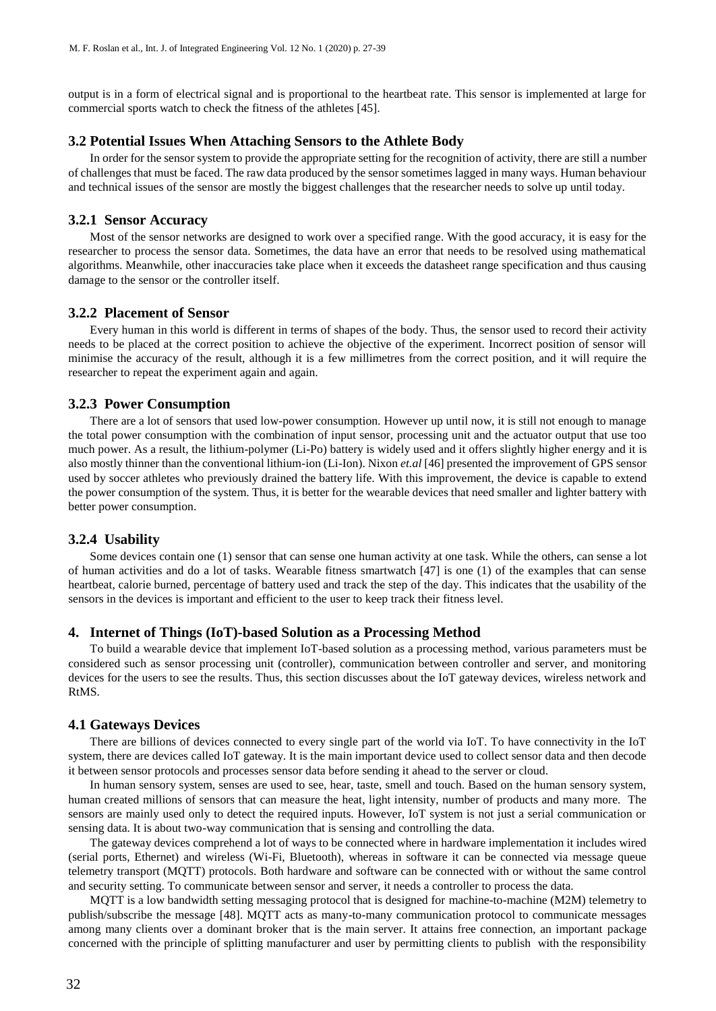output is in a form of electrical signal and is proportional to the heartbeat rate. This sensor is implemented at large for commercial sports watch to check the fitness of the athletes [45].

## **3.2 Potential Issues When Attaching Sensors to the Athlete Body**

In order for the sensor system to provide the appropriate setting for the recognition of activity, there are still a number of challenges that must be faced. The raw data produced by the sensor sometimes lagged in many ways. Human behaviour and technical issues of the sensor are mostly the biggest challenges that the researcher needs to solve up until today.

## **3.2.1 Sensor Accuracy**

Most of the sensor networks are designed to work over a specified range. With the good accuracy, it is easy for the researcher to process the sensor data. Sometimes, the data have an error that needs to be resolved using mathematical algorithms. Meanwhile, other inaccuracies take place when it exceeds the datasheet range specification and thus causing damage to the sensor or the controller itself.

## **3.2.2 Placement of Sensor**

Every human in this world is different in terms of shapes of the body. Thus, the sensor used to record their activity needs to be placed at the correct position to achieve the objective of the experiment. Incorrect position of sensor will minimise the accuracy of the result, although it is a few millimetres from the correct position, and it will require the researcher to repeat the experiment again and again.

## **3.2.3 Power Consumption**

There are a lot of sensors that used low-power consumption. However up until now, it is still not enough to manage the total power consumption with the combination of input sensor, processing unit and the actuator output that use too much power. As a result, the lithium-polymer (Li-Po) battery is widely used and it offers slightly higher energy and it is also mostly thinner than the conventional lithium-ion (Li-Ion). Nixon *et.al* [46] presented the improvement of GPS sensor used by soccer athletes who previously drained the battery life. With this improvement, the device is capable to extend the power consumption of the system. Thus, it is better for the wearable devices that need smaller and lighter battery with better power consumption.

## **3.2.4 Usability**

Some devices contain one (1) sensor that can sense one human activity at one task. While the others, can sense a lot of human activities and do a lot of tasks. Wearable fitness smartwatch [47] is one (1) of the examples that can sense heartbeat, calorie burned, percentage of battery used and track the step of the day. This indicates that the usability of the sensors in the devices is important and efficient to the user to keep track their fitness level.

#### **4. Internet of Things (IoT)-based Solution as a Processing Method**

To build a wearable device that implement IoT-based solution as a processing method, various parameters must be considered such as sensor processing unit (controller), communication between controller and server, and monitoring devices for the users to see the results. Thus, this section discusses about the IoT gateway devices, wireless network and RtMS.

#### **4.1 Gateways Devices**

There are billions of devices connected to every single part of the world via IoT. To have connectivity in the IoT system, there are devices called IoT gateway. It is the main important device used to collect sensor data and then decode it between sensor protocols and processes sensor data before sending it ahead to the server or cloud.

In human sensory system, senses are used to see, hear, taste, smell and touch. Based on the human sensory system, human created millions of sensors that can measure the heat, light intensity, number of products and many more. The sensors are mainly used only to detect the required inputs. However, IoT system is not just a serial communication or sensing data. It is about two-way communication that is sensing and controlling the data.

The gateway devices comprehend a lot of ways to be connected where in hardware implementation it includes wired (serial ports, Ethernet) and wireless (Wi-Fi, Bluetooth), whereas in software it can be connected via message queue telemetry transport (MQTT) protocols. Both hardware and software can be connected with or without the same control and security setting. To communicate between sensor and server, it needs a controller to process the data.

MQTT is a low bandwidth setting messaging protocol that is designed for machine-to-machine (M2M) telemetry to publish/subscribe the message [48]. MQTT acts as many-to-many communication protocol to communicate messages among many clients over a dominant broker that is the main server. It attains free connection, an important package concerned with the principle of splitting manufacturer and user by permitting clients to publish with the responsibility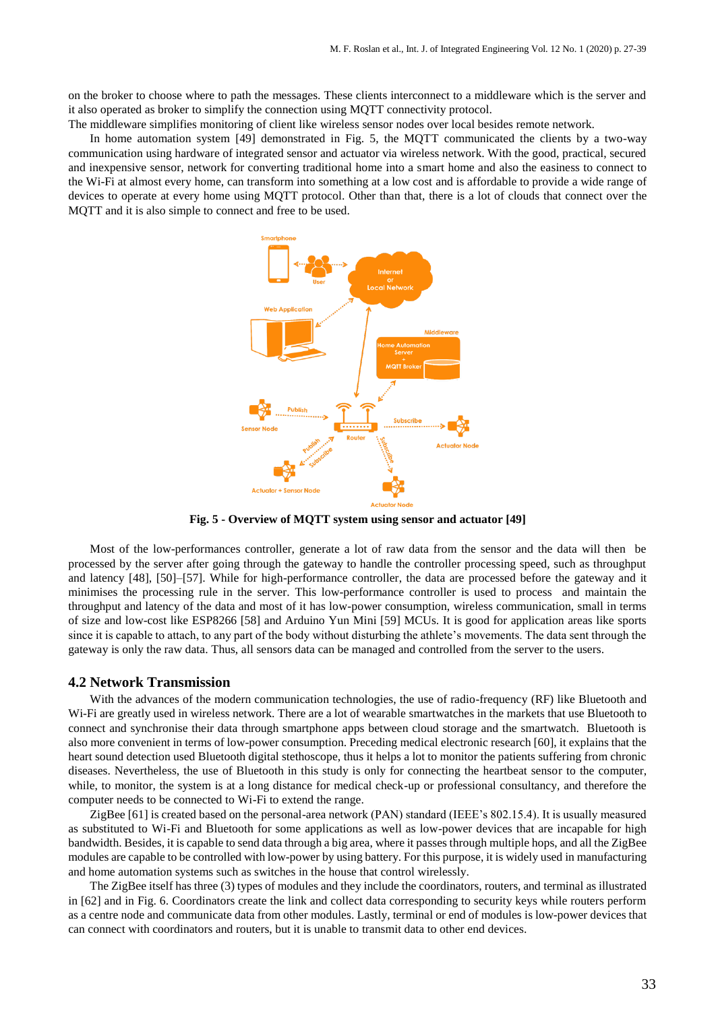on the broker to choose where to path the messages. These clients interconnect to a middleware which is the server and it also operated as broker to simplify the connection using MQTT connectivity protocol.

The middleware simplifies monitoring of client like wireless sensor nodes over local besides remote network.

In home automation system [49] demonstrated in Fig. 5, the MQTT communicated the clients by a two-way communication using hardware of integrated sensor and actuator via wireless network. With the good, practical, secured and inexpensive sensor, network for converting traditional home into a smart home and also the easiness to connect to the Wi-Fi at almost every home, can transform into something at a low cost and is affordable to provide a wide range of devices to operate at every home using MQTT protocol. Other than that, there is a lot of clouds that connect over the MQTT and it is also simple to connect and free to be used.



**Fig. 5 - Overview of MQTT system using sensor and actuator [49]**

Most of the low-performances controller, generate a lot of raw data from the sensor and the data will then be processed by the server after going through the gateway to handle the controller processing speed, such as throughput and latency [48], [50]–[57]. While for high-performance controller, the data are processed before the gateway and it minimises the processing rule in the server. This low-performance controller is used to process and maintain the throughput and latency of the data and most of it has low-power consumption, wireless communication, small in terms of size and low-cost like ESP8266 [58] and Arduino Yun Mini [59] MCUs. It is good for application areas like sports since it is capable to attach, to any part of the body without disturbing the athlete's movements. The data sent through the gateway is only the raw data. Thus, all sensors data can be managed and controlled from the server to the users.

## **4.2 Network Transmission**

With the advances of the modern communication technologies, the use of radio-frequency (RF) like Bluetooth and Wi-Fi are greatly used in wireless network. There are a lot of wearable smartwatches in the markets that use Bluetooth to connect and synchronise their data through smartphone apps between cloud storage and the smartwatch. Bluetooth is also more convenient in terms of low-power consumption. Preceding medical electronic research [60], it explains that the heart sound detection used Bluetooth digital stethoscope, thus it helps a lot to monitor the patients suffering from chronic diseases. Nevertheless, the use of Bluetooth in this study is only for connecting the heartbeat sensor to the computer, while, to monitor, the system is at a long distance for medical check-up or professional consultancy, and therefore the computer needs to be connected to Wi-Fi to extend the range.

ZigBee [61] is created based on the personal-area network (PAN) standard (IEEE's 802.15.4). It is usually measured as substituted to Wi-Fi and Bluetooth for some applications as well as low-power devices that are incapable for high bandwidth. Besides, it is capable to send data through a big area, where it passes through multiple hops, and all the ZigBee modules are capable to be controlled with low-power by using battery. For this purpose, it is widely used in manufacturing and home automation systems such as switches in the house that control wirelessly.

The ZigBee itself has three (3) types of modules and they include the coordinators, routers, and terminal as illustrated in [62] and in Fig. 6. Coordinators create the link and collect data corresponding to security keys while routers perform as a centre node and communicate data from other modules. Lastly, terminal or end of modules is low-power devices that can connect with coordinators and routers, but it is unable to transmit data to other end devices.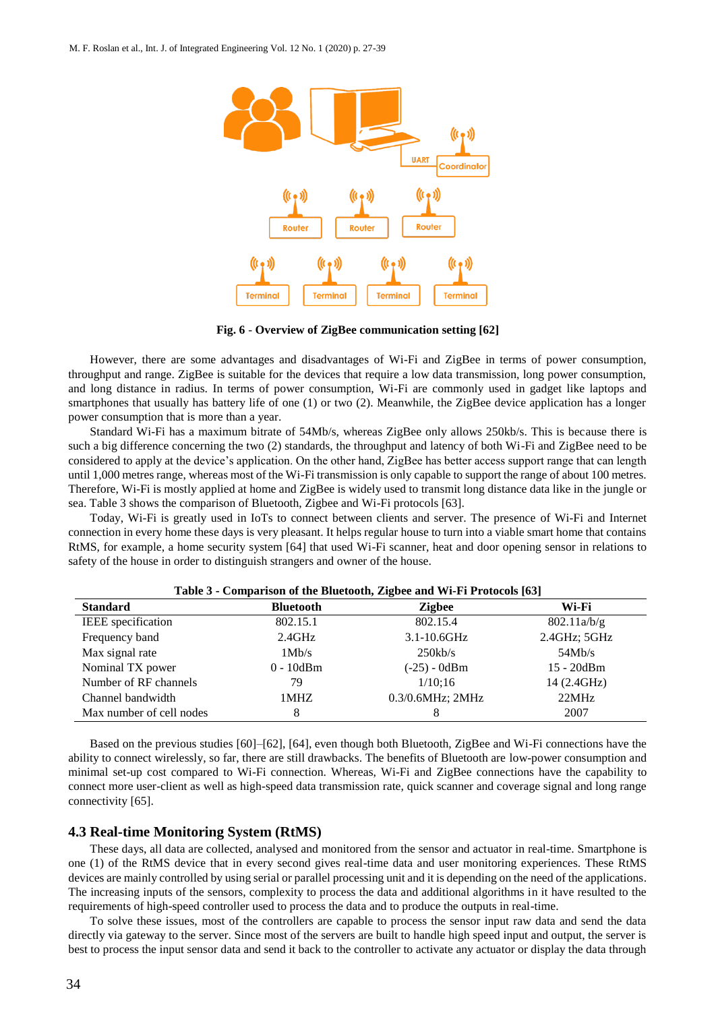

**Fig. 6** - **Overview of ZigBee communication setting [62]**

However, there are some advantages and disadvantages of Wi-Fi and ZigBee in terms of power consumption, throughput and range. ZigBee is suitable for the devices that require a low data transmission, long power consumption, and long distance in radius. In terms of power consumption, Wi-Fi are commonly used in gadget like laptops and smartphones that usually has battery life of one (1) or two (2). Meanwhile, the ZigBee device application has a longer power consumption that is more than a year.

Standard Wi-Fi has a maximum bitrate of 54Mb/s, whereas ZigBee only allows 250kb/s. This is because there is such a big difference concerning the two (2) standards, the throughput and latency of both Wi-Fi and ZigBee need to be considered to apply at the device's application. On the other hand, ZigBee has better access support range that can length until 1,000 metres range, whereas most of the Wi-Fi transmission is only capable to support the range of about 100 metres. Therefore, Wi-Fi is mostly applied at home and ZigBee is widely used to transmit long distance data like in the jungle or sea. Table 3 shows the comparison of Bluetooth, Zigbee and Wi-Fi protocols [63].

Today, Wi-Fi is greatly used in IoTs to connect between clients and server. The presence of Wi-Fi and Internet connection in every home these days is very pleasant. It helps regular house to turn into a viable smart home that contains RtMS, for example, a home security system [64] that used Wi-Fi scanner, heat and door opening sensor in relations to safety of the house in order to distinguish strangers and owner of the house.

| Table 5 - Comparison of the Diuctionii, Zigbee and WI-FITTO00003 [02] |                  |                  |              |  |  |
|-----------------------------------------------------------------------|------------------|------------------|--------------|--|--|
| <b>Standard</b>                                                       | <b>Bluetooth</b> | <b>Zigbee</b>    | Wi-Fi        |  |  |
| IEEE specification                                                    | 802.15.1         | 802.15.4         | 802.11a/b/g  |  |  |
| Frequency band                                                        | 2.4GHz           | $3.1 - 10.6$ GHz | 2.4GHz; 5GHz |  |  |
| Max signal rate                                                       | 1Mb/s            | 250kb/s          | 54Mb/s       |  |  |
| Nominal TX power                                                      | $0 - 10$ dBm     | $(-25) - 0dBm$   | 15 - 20dBm   |  |  |
| Number of RF channels                                                 | 79               | 1/10:16          | 14 (2.4GHz)  |  |  |
| Channel bandwidth                                                     | 1MHZ             | 0.3/0.6MHz; 2MHz | 22MHz        |  |  |
| Max number of cell nodes                                              | 8                |                  | 2007         |  |  |

## **Table 3 - Comparison of the Bluetooth, Zigbee and Wi-Fi Protocols [63]**

Based on the previous studies [60]–[62], [64], even though both Bluetooth, ZigBee and Wi-Fi connections have the ability to connect wirelessly, so far, there are still drawbacks. The benefits of Bluetooth are low-power consumption and minimal set-up cost compared to Wi-Fi connection. Whereas, Wi-Fi and ZigBee connections have the capability to connect more user-client as well as high-speed data transmission rate, quick scanner and coverage signal and long range connectivity [65].

## **4.3 Real-time Monitoring System (RtMS)**

These days, all data are collected, analysed and monitored from the sensor and actuator in real-time. Smartphone is one (1) of the RtMS device that in every second gives real-time data and user monitoring experiences. These RtMS devices are mainly controlled by using serial or parallel processing unit and it is depending on the need of the applications. The increasing inputs of the sensors, complexity to process the data and additional algorithms in it have resulted to the requirements of high-speed controller used to process the data and to produce the outputs in real-time.

To solve these issues, most of the controllers are capable to process the sensor input raw data and send the data directly via gateway to the server. Since most of the servers are built to handle high speed input and output, the server is best to process the input sensor data and send it back to the controller to activate any actuator or display the data through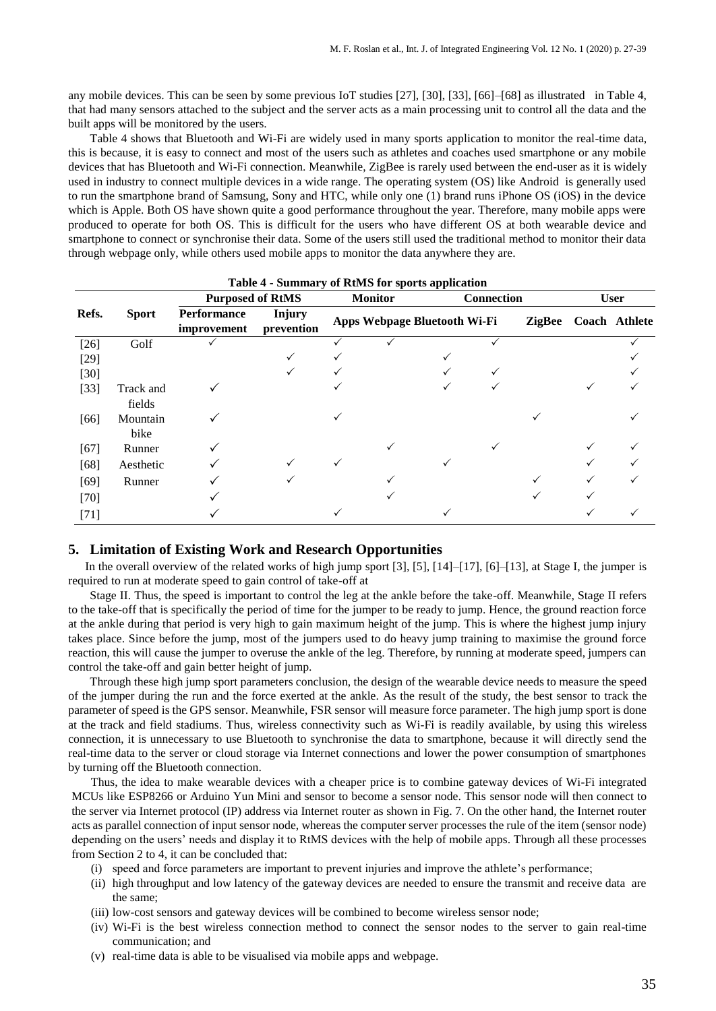any mobile devices. This can be seen by some previous IoT studies [27], [30], [33], [66]–[68] as illustrated in Table 4, that had many sensors attached to the subject and the server acts as a main processing unit to control all the data and the built apps will be monitored by the users.

Table 4 shows that Bluetooth and Wi-Fi are widely used in many sports application to monitor the real-time data, this is because, it is easy to connect and most of the users such as athletes and coaches used smartphone or any mobile devices that has Bluetooth and Wi-Fi connection. Meanwhile, ZigBee is rarely used between the end-user as it is widely used in industry to connect multiple devices in a wide range. The operating system (OS) like Android is generally used to run the smartphone brand of Samsung, Sony and HTC, while only one (1) brand runs iPhone OS (iOS) in the device which is Apple. Both OS have shown quite a good performance throughout the year. Therefore, many mobile apps were produced to operate for both OS. This is difficult for the users who have different OS at both wearable device and smartphone to connect or synchronise their data. Some of the users still used the traditional method to monitor their data through webpage only, while others used mobile apps to monitor the data anywhere they are.

|        |                     | <b>Lable + - Summal y 01 KUMS TOL Sports application</b><br><b>Purposed of RtMS</b> |                             | <b>Monitor</b> |                              | <b>Connection</b> |               | <b>User</b> |               |
|--------|---------------------|-------------------------------------------------------------------------------------|-----------------------------|----------------|------------------------------|-------------------|---------------|-------------|---------------|
| Refs.  | <b>Sport</b>        | <b>Performance</b><br>improvement                                                   | <b>Injury</b><br>prevention |                | Apps Webpage Bluetooth Wi-Fi |                   | <b>ZigBee</b> |             | Coach Athlete |
| $[26]$ | Golf                |                                                                                     |                             |                |                              |                   |               |             |               |
| $[29]$ |                     |                                                                                     |                             |                |                              |                   |               |             |               |
| $[30]$ |                     |                                                                                     |                             |                |                              |                   |               |             |               |
| $[33]$ | Track and<br>fields |                                                                                     |                             |                |                              |                   |               |             |               |
| [66]   | Mountain<br>bike    |                                                                                     |                             |                |                              |                   |               |             |               |
| $[67]$ | Runner              |                                                                                     |                             |                | $\checkmark$                 |                   |               |             |               |
| $[68]$ | Aesthetic           |                                                                                     |                             |                |                              |                   |               |             |               |
| $[69]$ | Runner              |                                                                                     |                             |                |                              |                   |               |             |               |
| $[70]$ |                     |                                                                                     |                             |                |                              |                   |               |             |               |
| $[71]$ |                     |                                                                                     |                             |                |                              |                   |               |             |               |

## **Table 4 - Summary of RtMS for sports application**

## **5. Limitation of Existing Work and Research Opportunities**

In the overall overview of the related works of high jump sport [3], [5], [14]–[17], [6]–[13], at Stage I, the jumper is required to run at moderate speed to gain control of take-off at

Stage II. Thus, the speed is important to control the leg at the ankle before the take-off. Meanwhile, Stage II refers to the take-off that is specifically the period of time for the jumper to be ready to jump. Hence, the ground reaction force at the ankle during that period is very high to gain maximum height of the jump. This is where the highest jump injury takes place. Since before the jump, most of the jumpers used to do heavy jump training to maximise the ground force reaction, this will cause the jumper to overuse the ankle of the leg. Therefore, by running at moderate speed, jumpers can control the take-off and gain better height of jump.

Through these high jump sport parameters conclusion, the design of the wearable device needs to measure the speed of the jumper during the run and the force exerted at the ankle. As the result of the study, the best sensor to track the parameter of speed is the GPS sensor. Meanwhile, FSR sensor will measure force parameter. The high jump sport is done at the track and field stadiums. Thus, wireless connectivity such as Wi-Fi is readily available, by using this wireless connection, it is unnecessary to use Bluetooth to synchronise the data to smartphone, because it will directly send the real-time data to the server or cloud storage via Internet connections and lower the power consumption of smartphones by turning off the Bluetooth connection.

Thus, the idea to make wearable devices with a cheaper price is to combine gateway devices of Wi-Fi integrated MCUs like ESP8266 or Arduino Yun Mini and sensor to become a sensor node. This sensor node will then connect to the server via Internet protocol (IP) address via Internet router as shown in Fig. 7. On the other hand, the Internet router acts as parallel connection of input sensor node, whereas the computer server processes the rule of the item (sensor node) depending on the users' needs and display it to RtMS devices with the help of mobile apps. Through all these processes from Section 2 to 4, it can be concluded that:

- (i) speed and force parameters are important to prevent injuries and improve the athlete's performance;
- (ii) high throughput and low latency of the gateway devices are needed to ensure the transmit and receive data are the same;
- (iii) low-cost sensors and gateway devices will be combined to become wireless sensor node;
- (iv) Wi-Fi is the best wireless connection method to connect the sensor nodes to the server to gain real-time communication; and
- (v) real-time data is able to be visualised via mobile apps and webpage.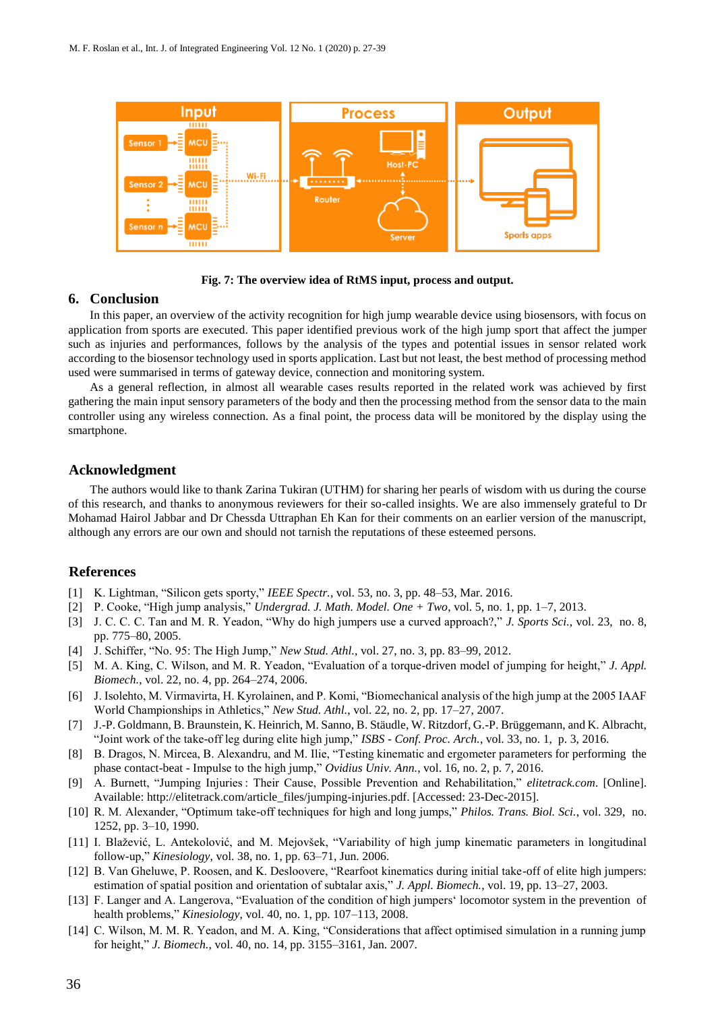



## **6. Conclusion**

In this paper, an overview of the activity recognition for high jump wearable device using biosensors, with focus on application from sports are executed. This paper identified previous work of the high jump sport that affect the jumper such as injuries and performances, follows by the analysis of the types and potential issues in sensor related work according to the biosensor technology used in sports application. Last but not least, the best method of processing method used were summarised in terms of gateway device, connection and monitoring system.

As a general reflection, in almost all wearable cases results reported in the related work was achieved by first gathering the main input sensory parameters of the body and then the processing method from the sensor data to the main controller using any wireless connection. As a final point, the process data will be monitored by the display using the smartphone.

## **Acknowledgment**

The authors would like to thank Zarina Tukiran (UTHM) for sharing her pearls of wisdom with us during the course of this research, and thanks to anonymous reviewers for their so-called insights. We are also immensely grateful to Dr Mohamad Hairol Jabbar and Dr Chessda Uttraphan Eh Kan for their comments on an earlier version of the manuscript, although any errors are our own and should not tarnish the reputations of these esteemed persons.

## **References**

- [1] K. Lightman, "Silicon gets sporty," *IEEE Spectr.*, vol. 53, no. 3, pp. 48–53, Mar. 2016.
- [2] P. Cooke, "High jump analysis," *Undergrad. J. Math. Model. One + Two*, vol. 5, no. 1, pp. 1–7, 2013.
- [3] J. C. C. C. Tan and M. R. Yeadon, "Why do high jumpers use a curved approach?," *J. Sports Sci.*, vol. 23, no. 8, pp. 775–80, 2005.
- [4] J. Schiffer, "No. 95: The High Jump," *New Stud. Athl.*, vol. 27, no. 3, pp. 83–99, 2012.
- [5] M. A. King, C. Wilson, and M. R. Yeadon, "Evaluation of a torque-driven model of jumping for height," *J. Appl. Biomech.*, vol. 22, no. 4, pp. 264–274, 2006.
- [6] J. Isolehto, M. Virmavirta, H. Kyrolainen, and P. Komi, "Biomechanical analysis of the high jump at the 2005 IAAF World Championships in Athletics," *New Stud. Athl.*, vol. 22, no. 2, pp. 17–27, 2007.
- [7] J.-P. Goldmann, B. Braunstein, K. Heinrich, M. Sanno, B. Stäudle, W. Ritzdorf, G.-P. Brüggemann, and K. Albracht, "Joint work of the take-off leg during elite high jump," *ISBS - Conf. Proc. Arch.*, vol. 33, no. 1, p. 3, 2016.
- [8] B. Dragos, N. Mircea, B. Alexandru, and M. Ilie, "Testing kinematic and ergometer parameters for performing the phase contact-beat - Impulse to the high jump," *Ovidius Univ. Ann.*, vol. 16, no. 2, p. 7, 2016.
- [9] A. Burnett, "Jumping Injuries : Their Cause, Possible Prevention and Rehabilitation," *elitetrack.com*. [Online]. Available: http://elitetrack.com/article\_files/jumping-injuries.pdf. [Accessed: 23-Dec-2015].
- [10] R. M. Alexander, "Optimum take-off techniques for high and long jumps," *Philos. Trans. Biol. Sci.*, vol. 329, no. 1252, pp. 3–10, 1990.
- [11] I. Blažević, L. Antekolović, and M. Mejovšek, "Variability of high jump kinematic parameters in longitudinal follow-up," *Kinesiology*, vol. 38, no. 1, pp. 63–71, Jun. 2006.
- [12] B. Van Gheluwe, P. Roosen, and K. Desloovere, "Rearfoot kinematics during initial take-off of elite high jumpers: estimation of spatial position and orientation of subtalar axis," *J. Appl. Biomech.*, vol. 19, pp. 13–27, 2003.
- [13] F. Langer and A. Langerova, "Evaluation of the condition of high jumpers' locomotor system in the prevention of health problems," *Kinesiology*, vol. 40, no. 1, pp. 107–113, 2008.
- [14] C. Wilson, M. M. R. Yeadon, and M. A. King, "Considerations that affect optimised simulation in a running jump for height," *J. Biomech.*, vol. 40, no. 14, pp. 3155–3161, Jan. 2007.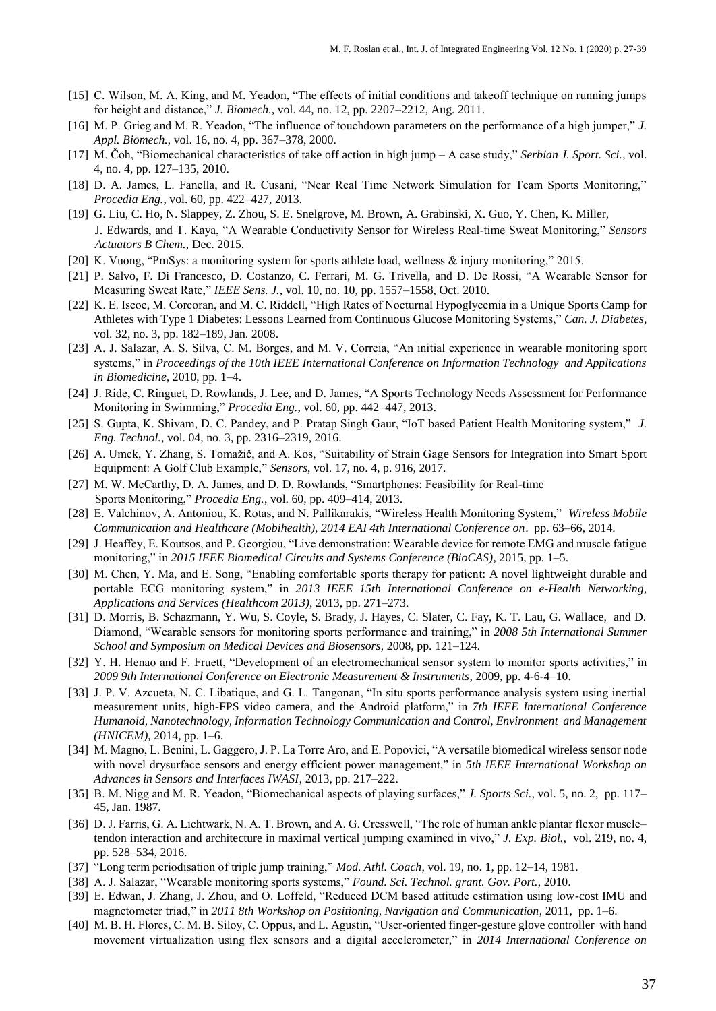- [15] C. Wilson, M. A. King, and M. Yeadon, "The effects of initial conditions and takeoff technique on running jumps for height and distance," *J. Biomech.*, vol. 44, no. 12, pp. 2207–2212, Aug. 2011.
- [16] M. P. Grieg and M. R. Yeadon, "The influence of touchdown parameters on the performance of a high jumper," *J. Appl. Biomech.*, vol. 16, no. 4, pp. 367–378, 2000.
- [17] M. Čoh, "Biomechanical characteristics of take off action in high jump A case study," *Serbian J. Sport. Sci.*, vol. 4, no. 4, pp. 127–135, 2010.
- [18] D. A. James, L. Fanella, and R. Cusani, "Near Real Time Network Simulation for Team Sports Monitoring," *Procedia Eng.*, vol. 60, pp. 422–427, 2013.
- [19] G. Liu, C. Ho, N. Slappey, Z. Zhou, S. E. Snelgrove, M. Brown, A. Grabinski, X. Guo, Y. Chen, K. Miller, J. Edwards, and T. Kaya, "A Wearable Conductivity Sensor for Wireless Real-time Sweat Monitoring," *Sensors Actuators B Chem.*, Dec. 2015.
- [20] K. Vuong, "PmSys: a monitoring system for sports athlete load, wellness & injury monitoring," 2015.
- [21] P. Salvo, F. Di Francesco, D. Costanzo, C. Ferrari, M. G. Trivella, and D. De Rossi, "A Wearable Sensor for Measuring Sweat Rate," *IEEE Sens. J.*, vol. 10, no. 10, pp. 1557–1558, Oct. 2010.
- [22] K. E. Iscoe, M. Corcoran, and M. C. Riddell, "High Rates of Nocturnal Hypoglycemia in a Unique Sports Camp for Athletes with Type 1 Diabetes: Lessons Learned from Continuous Glucose Monitoring Systems," *Can. J. Diabetes*, vol. 32, no. 3, pp. 182–189, Jan. 2008.
- [23] A. J. Salazar, A. S. Silva, C. M. Borges, and M. V. Correia, "An initial experience in wearable monitoring sport systems," in *Proceedings of the 10th IEEE International Conference on Information Technology and Applications in Biomedicine*, 2010, pp. 1–4.
- [24] J. Ride, C. Ringuet, D. Rowlands, J. Lee, and D. James, "A Sports Technology Needs Assessment for Performance Monitoring in Swimming," *Procedia Eng.*, vol. 60, pp. 442–447, 2013.
- [25] S. Gupta, K. Shivam, D. C. Pandey, and P. Pratap Singh Gaur, "IoT based Patient Health Monitoring system," *J. Eng. Technol.*, vol. 04, no. 3, pp. 2316–2319, 2016.
- [26] A. Umek, Y. Zhang, S. Tomažič, and A. Kos, "Suitability of Strain Gage Sensors for Integration into Smart Sport Equipment: A Golf Club Example," *Sensors*, vol. 17, no. 4, p. 916, 2017.
- [27] M. W. McCarthy, D. A. James, and D. D. Rowlands, "Smartphones: Feasibility for Real-time Sports Monitoring," *Procedia Eng.*, vol. 60, pp. 409–414, 2013.
- [28] E. Valchinov, A. Antoniou, K. Rotas, and N. Pallikarakis, "Wireless Health Monitoring System," *Wireless Mobile Communication and Healthcare (Mobihealth), 2014 EAI 4th International Conference on*. pp. 63–66, 2014.
- [29] J. Heaffey, E. Koutsos, and P. Georgiou, "Live demonstration: Wearable device for remote EMG and muscle fatigue monitoring," in *2015 IEEE Biomedical Circuits and Systems Conference (BioCAS)*, 2015, pp. 1–5.
- [30] M. Chen, Y. Ma, and E. Song, "Enabling comfortable sports therapy for patient: A novel lightweight durable and portable ECG monitoring system," in *2013 IEEE 15th International Conference on e-Health Networking, Applications and Services (Healthcom 2013)*, 2013, pp. 271–273.
- [31] D. Morris, B. Schazmann, Y. Wu, S. Coyle, S. Brady, J. Hayes, C. Slater, C. Fay, K. T. Lau, G. Wallace, and D. Diamond, "Wearable sensors for monitoring sports performance and training," in *2008 5th International Summer School and Symposium on Medical Devices and Biosensors*, 2008, pp. 121–124.
- [32] Y. H. Henao and F. Fruett, "Development of an electromechanical sensor system to monitor sports activities," in *2009 9th International Conference on Electronic Measurement & Instruments*, 2009, pp. 4-6-4–10.
- [33] J. P. V. Azcueta, N. C. Libatique, and G. L. Tangonan, "In situ sports performance analysis system using inertial measurement units, high-FPS video camera, and the Android platform," in *7th IEEE International Conference Humanoid, Nanotechnology, Information Technology Communication and Control, Environment and Management (HNICEM)*, 2014, pp. 1–6.
- [34] M. Magno, L. Benini, L. Gaggero, J. P. La Torre Aro, and E. Popovici, "A versatile biomedical wireless sensor node with novel drysurface sensors and energy efficient power management," in *5th IEEE International Workshop on Advances in Sensors and Interfaces IWASI*, 2013, pp. 217–222.
- [35] B. M. Nigg and M. R. Yeadon, "Biomechanical aspects of playing surfaces," *J. Sports Sci.*, vol. 5, no. 2, pp. 117– 45, Jan. 1987.
- [36] D. J. Farris, G. A. Lichtwark, N. A. T. Brown, and A. G. Cresswell, "The role of human ankle plantar flexor muscle– tendon interaction and architecture in maximal vertical jumping examined in vivo," *J. Exp. Biol.*, vol. 219, no. 4, pp. 528–534, 2016.
- [37] "Long term periodisation of triple jump training," *Mod. Athl. Coach*, vol. 19, no. 1, pp. 12–14, 1981.
- [38] A. J. Salazar, "Wearable monitoring sports systems," *Found. Sci. Technol. grant. Gov. Port.*, 2010.
- [39] E. Edwan, J. Zhang, J. Zhou, and O. Loffeld, "Reduced DCM based attitude estimation using low-cost IMU and magnetometer triad," in *2011 8th Workshop on Positioning, Navigation and Communication*, 2011, pp. 1–6.
- [40] M. B. H. Flores, C. M. B. Siloy, C. Oppus, and L. Agustin, "User-oriented finger-gesture glove controller with hand movement virtualization using flex sensors and a digital accelerometer," in *2014 International Conference on*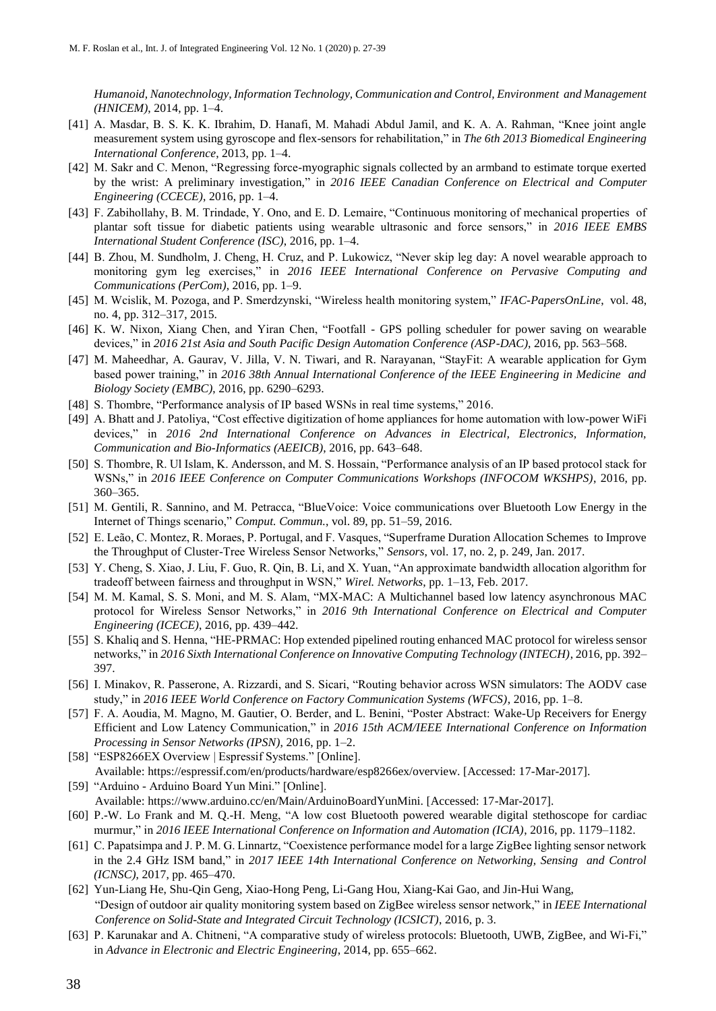*Humanoid, Nanotechnology, Information Technology, Communication and Control, Environment and Management (HNICEM)*, 2014, pp. 1–4.

- [41] A. Masdar, B. S. K. K. Ibrahim, D. Hanafi, M. Mahadi Abdul Jamil, and K. A. A. Rahman, "Knee joint angle measurement system using gyroscope and flex-sensors for rehabilitation," in *The 6th 2013 Biomedical Engineering International Conference*, 2013, pp. 1–4.
- [42] M. Sakr and C. Menon, "Regressing force-myographic signals collected by an armband to estimate torque exerted by the wrist: A preliminary investigation," in *2016 IEEE Canadian Conference on Electrical and Computer Engineering (CCECE)*, 2016, pp. 1–4.
- [43] F. Zabihollahy, B. M. Trindade, Y. Ono, and E. D. Lemaire, "Continuous monitoring of mechanical properties of plantar soft tissue for diabetic patients using wearable ultrasonic and force sensors," in *2016 IEEE EMBS International Student Conference (ISC)*, 2016, pp. 1–4.
- [44] B. Zhou, M. Sundholm, J. Cheng, H. Cruz, and P. Lukowicz, "Never skip leg day: A novel wearable approach to monitoring gym leg exercises," in *2016 IEEE International Conference on Pervasive Computing and Communications (PerCom)*, 2016, pp. 1–9.
- [45] M. Wcislik, M. Pozoga, and P. Smerdzynski, "Wireless health monitoring system," *IFAC-PapersOnLine*, vol. 48, no. 4, pp. 312–317, 2015.
- [46] K. W. Nixon, Xiang Chen, and Yiran Chen, "Footfall GPS polling scheduler for power saving on wearable devices," in *2016 21st Asia and South Pacific Design Automation Conference (ASP-DAC)*, 2016, pp. 563–568.
- [47] M. Maheedhar, A. Gaurav, V. Jilla, V. N. Tiwari, and R. Narayanan, "StayFit: A wearable application for Gym based power training," in *2016 38th Annual International Conference of the IEEE Engineering in Medicine and Biology Society (EMBC)*, 2016, pp. 6290–6293.
- [48] S. Thombre, "Performance analysis of IP based WSNs in real time systems," 2016.
- [49] A. Bhatt and J. Patoliya, "Cost effective digitization of home appliances for home automation with low-power WiFi devices," in *2016 2nd International Conference on Advances in Electrical, Electronics, Information, Communication and Bio-Informatics (AEEICB)*, 2016, pp. 643–648.
- [50] S. Thombre, R. Ul Islam, K. Andersson, and M. S. Hossain, "Performance analysis of an IP based protocol stack for WSNs," in *2016 IEEE Conference on Computer Communications Workshops (INFOCOM WKSHPS)*, 2016, pp. 360–365.
- [51] M. Gentili, R. Sannino, and M. Petracca, "BlueVoice: Voice communications over Bluetooth Low Energy in the Internet of Things scenario," *Comput. Commun.*, vol. 89, pp. 51–59, 2016.
- [52] E. Leão, C. Montez, R. Moraes, P. Portugal, and F. Vasques, "Superframe Duration Allocation Schemes to Improve the Throughput of Cluster-Tree Wireless Sensor Networks," *Sensors*, vol. 17, no. 2, p. 249, Jan. 2017.
- [53] Y. Cheng, S. Xiao, J. Liu, F. Guo, R. Qin, B. Li, and X. Yuan, "An approximate bandwidth allocation algorithm for tradeoff between fairness and throughput in WSN," *Wirel. Networks*, pp. 1–13, Feb. 2017.
- [54] M. M. Kamal, S. S. Moni, and M. S. Alam, "MX-MAC: A Multichannel based low latency asynchronous MAC protocol for Wireless Sensor Networks," in *2016 9th International Conference on Electrical and Computer Engineering (ICECE)*, 2016, pp. 439–442.
- [55] S. Khaliq and S. Henna, "HE-PRMAC: Hop extended pipelined routing enhanced MAC protocol for wireless sensor networks," in *2016 Sixth International Conference on Innovative Computing Technology (INTECH)*, 2016, pp. 392– 397.
- [56] I. Minakov, R. Passerone, A. Rizzardi, and S. Sicari, "Routing behavior across WSN simulators: The AODV case study," in *2016 IEEE World Conference on Factory Communication Systems (WFCS)*, 2016, pp. 1–8.
- [57] F. A. Aoudia, M. Magno, M. Gautier, O. Berder, and L. Benini, "Poster Abstract: Wake-Up Receivers for Energy Efficient and Low Latency Communication," in *2016 15th ACM/IEEE International Conference on Information Processing in Sensor Networks (IPSN)*, 2016, pp. 1–2.
- [58] "ESP8266EX Overview | Espressif Systems." [Online]. Available: https://espressif.com/en/products/hardware/esp8266ex/overview. [Accessed: 17-Mar-2017].
- [59] "Arduino Arduino Board Yun Mini." [Online].
	- Available: https://www.arduino.cc/en/Main/ArduinoBoardYunMini. [Accessed: 17-Mar-2017].
- [60] P.-W. Lo Frank and M. Q.-H. Meng, "A low cost Bluetooth powered wearable digital stethoscope for cardiac murmur," in *2016 IEEE International Conference on Information and Automation (ICIA)*, 2016, pp. 1179–1182.
- [61] C. Papatsimpa and J. P. M. G. Linnartz, "Coexistence performance model for a large ZigBee lighting sensor network in the 2.4 GHz ISM band," in *2017 IEEE 14th International Conference on Networking, Sensing and Control (ICNSC)*, 2017, pp. 465–470.
- [62] Yun-Liang He, Shu-Qin Geng, Xiao-Hong Peng, Li-Gang Hou, Xiang-Kai Gao, and Jin-Hui Wang, "Design of outdoor air quality monitoring system based on ZigBee wireless sensor network," in *IEEE International Conference on Solid-State and Integrated Circuit Technology (ICSICT)*, 2016, p. 3.
- [63] P. Karunakar and A. Chitneni, "A comparative study of wireless protocols: Bluetooth, UWB, ZigBee, and Wi-Fi," in *Advance in Electronic and Electric Engineering*, 2014, pp. 655–662.